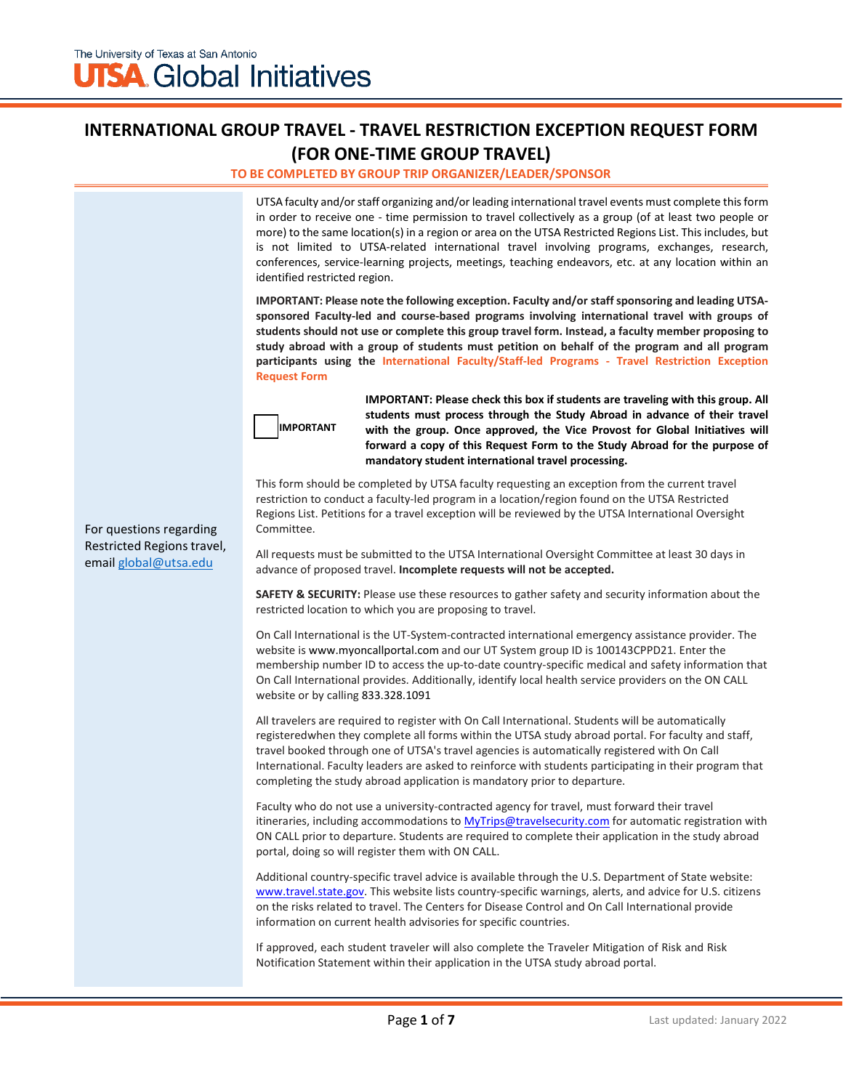## **INTERNATIONAL GROUP TRAVEL - TRAVEL RESTRICTION EXCEPTION REQUEST FORM (FOR ONE-TIME GROUP TRAVEL)**

#### **TO BE COMPLETED BY GROUP TRIP ORGANIZER/LEADER/SPONSOR**

UTSA faculty and/or staff organizing and/or leading international travel events must complete this form in order to receive one - time permission to travel collectively as a group (of at least two people or more) to the same location(s) in a region or area on the UTSA Restricted Regions List. This includes, but is not limited to UTSA-related international travel involving programs, exchanges, research, conferences, service-learning projects, meetings, teaching endeavors, etc. at any location within an identified restricted region.

**IMPORTANT: Please note the following exception. Faculty and/or staff sponsoring and leading UTSAsponsored Faculty-led and course-based programs involving international travel with groups of students should not use or complete this group travel form. Instead, a faculty member proposing to study abroad with a group of students must petition on behalf of the program and all program participants using the International Faculty/Staff-led Programs - Travel Restriction Exception Request Form**



**IMPORTANT: Please check this box if students are traveling with this group. All students must process through the Study Abroad in advance of their travel with the group. Once approved, the Vice Provost for Global Initiatives will forward a copy of this Request Form to the Study Abroad for the purpose of mandatory student international travel processing.** 

This form should be completed by UTSA faculty requesting an exception from the current travel restriction to conduct a faculty-led program in a location/region found on the UTSA Restricted Regions List. Petitions for a travel exception will be reviewed by the UTSA International Oversight Committee.

All requests must be submitted to the UTSA International Oversight Committee at least 30 days in advance of proposed travel. **Incomplete requests will not be accepted.**

**SAFETY & SECURITY:** Please use these resources to gather safety and security information about the restricted location to which you are proposing to travel.

On Call International is the UT-System-contracted international emergency assistance provider. The website is www.myoncallportal.com and our UT System group ID is 100143CPPD21. Enter the membership number ID to access the up-to-date country-specific medical and safety information that On Call International provides. Additionally, identify local health service providers on the ON CALL website or by calling 833.328.1091

All travelers are required to register with On Call International. Students will be automatically registered when they complete all forms within the UTSA study abroad portal. For faculty and staff, travel booked through one of UTSA's travel agencies is automatically registered with On Call International. Faculty leaders are asked to reinforce with students participating in their program that completing the study abroad application is mandatory prior to departure.

Faculty who do not use a university-contracted agency for travel, must forward their travel itineraries, including accommodations t[o MyTrips@travelsecurity.com](mailto:MyTrips@travelsecurity.com) for automatic registration with ON CALL prior to departure. Students are required to complete their application in the study abroad portal, doing so will register them with ON CALL.

Additional country-specific travel advice is available through the U.S. Department of State website: [www.travel.state.gov. T](http://www.travel.state.gov/)his website lists country-specific warnings, alerts, and advice for U.S. citizens on the risks related to travel. The Centers for Disease Control and On Call International provide information on current health advisories for specific countries.

If approved, each student traveler will also complete the Traveler Mitigation of Risk and Risk Notification Statement within their application in the UTSA study abroad portal.

For questions regarding Restricted Regions travel, email [global@utsa.edu](mailto:global@utsa.edu)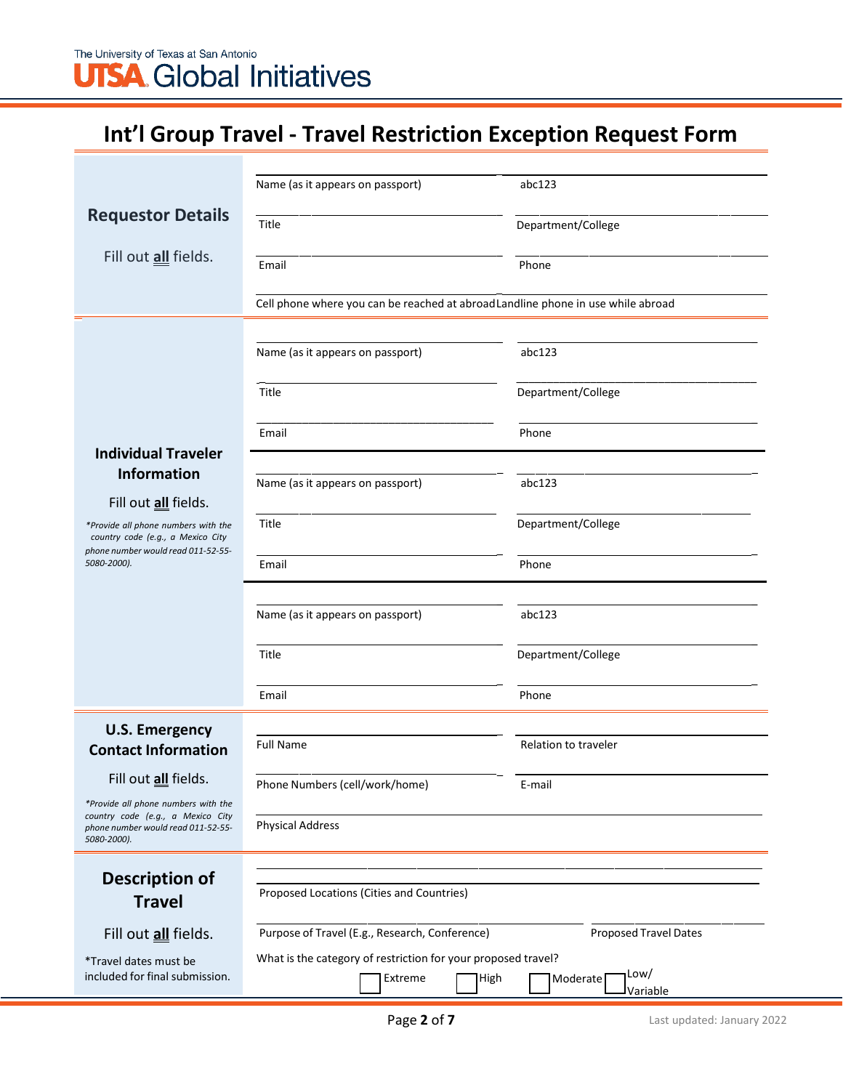The University of Texas at San Antonio **UTSA** Global Initiatives

# **Int'l Group Travel - Travel Restriction Exception Request Form**

|                                                                                                                               | Name (as it appears on passport)                                                | abc123                              |  |  |
|-------------------------------------------------------------------------------------------------------------------------------|---------------------------------------------------------------------------------|-------------------------------------|--|--|
| <b>Requestor Details</b>                                                                                                      | Title                                                                           | Department/College                  |  |  |
|                                                                                                                               |                                                                                 |                                     |  |  |
| Fill out all fields.                                                                                                          | Email                                                                           | Phone                               |  |  |
|                                                                                                                               | Cell phone where you can be reached at abroadLandline phone in use while abroad |                                     |  |  |
|                                                                                                                               |                                                                                 |                                     |  |  |
|                                                                                                                               | Name (as it appears on passport)                                                | abc123                              |  |  |
|                                                                                                                               | Title                                                                           | Department/College                  |  |  |
|                                                                                                                               | Email                                                                           | Phone                               |  |  |
| <b>Individual Traveler</b>                                                                                                    |                                                                                 |                                     |  |  |
| <b>Information</b>                                                                                                            | Name (as it appears on passport)                                                | abc123                              |  |  |
| Fill out all fields.                                                                                                          |                                                                                 |                                     |  |  |
| *Provide all phone numbers with the<br>country code (e.g., a Mexico City                                                      | Title                                                                           | Department/College                  |  |  |
| phone number would read 011-52-55-<br>5080-2000).                                                                             | Email                                                                           | Phone                               |  |  |
|                                                                                                                               | Name (as it appears on passport)                                                | abc123                              |  |  |
|                                                                                                                               |                                                                                 |                                     |  |  |
|                                                                                                                               | Title                                                                           | Department/College                  |  |  |
|                                                                                                                               | Email                                                                           | Phone                               |  |  |
| <b>U.S. Emergency</b>                                                                                                         |                                                                                 |                                     |  |  |
| <b>Contact Information</b>                                                                                                    | <b>Full Name</b>                                                                | Relation to traveler                |  |  |
| Fill out all fields.                                                                                                          | Phone Numbers (cell/work/home)                                                  | E-mail                              |  |  |
| *Provide all phone numbers with the<br>country code (e.g., a Mexico City<br>phone number would read 011-52-55-<br>5080-2000). | <b>Physical Address</b>                                                         |                                     |  |  |
|                                                                                                                               |                                                                                 |                                     |  |  |
| <b>Description of</b>                                                                                                         |                                                                                 |                                     |  |  |
| <b>Travel</b>                                                                                                                 | Proposed Locations (Cities and Countries)                                       |                                     |  |  |
| Fill out all fields.                                                                                                          | Purpose of Travel (E.g., Research, Conference)<br><b>Proposed Travel Dates</b>  |                                     |  |  |
| *Travel dates must be                                                                                                         | What is the category of restriction for your proposed travel?                   |                                     |  |  |
| included for final submission.                                                                                                | Extreme<br>High                                                                 | Low/<br>Moderate<br><b>Variable</b> |  |  |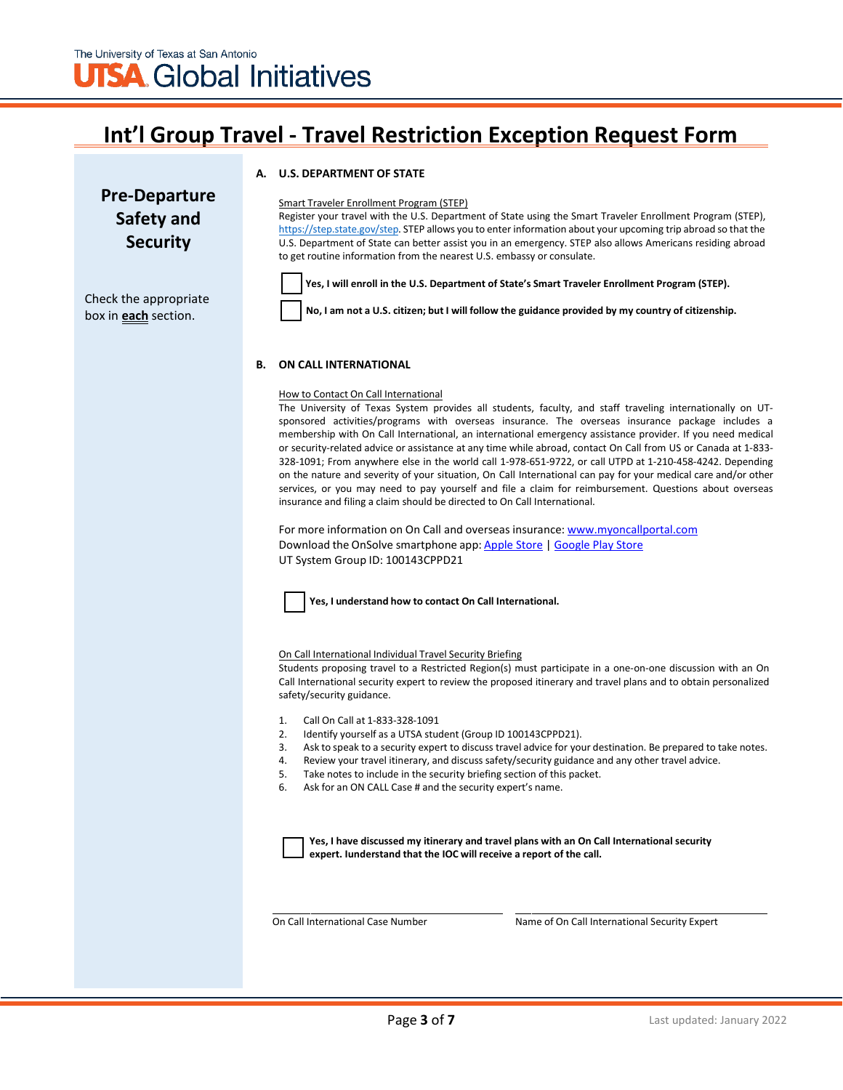## **Int'l Group Travel - Travel Restriction Exception Request Form**

#### **A. U.S. DEPARTMENT OF STATE**

## **Pre-Departure Safety and Security**

#### Smart Traveler Enrollment Program (STEP)

Register your travel with the U.S. Department of State using the Smart Traveler Enrollment Program (STEP), [https://step.state.gov/step. S](https://step.state.gov/step)TEP allows you to enter information about your upcoming trip abroad so that the U.S. Department of State can better assist you in an emergency. STEP also allows Americans residing abroad to get routine information from the nearest U.S. embassy or consulate.

Check the appropriate box in **each** section.



**Yes, I will enroll in the U.S. Department of State's Smart Traveler Enrollment Program (STEP).**

**No, I am not a U.S. citizen; but I will follow the guidance provided by my country of citizenship.**

#### **B. ON CALL INTERNATIONAL**

#### How to Contact On Call International

The University of Texas System provides all students, faculty, and staff traveling internationally on UTsponsored activities/programs with overseas insurance. The overseas insurance package includes a membership with On Call International, an international emergency assistance provider. If you need medical or security-related advice or assistance at any time while abroad, contact On Call from US or Canada at 1-833- 328-1091; From anywhere else in the world call 1-978-651-9722, or call UTPD at 1-210-458-4242. Depending on the nature and severity of your situation, On Call International can pay for your medical care and/or other services, or you may need to pay yourself and file a claim for reimbursement. Questions about overseas insurance and filing a claim should be directed to On Call International.

For more information on On Call and overseas insurance: [www.myoncallportal.com](http://www.myoncallportal.com/) Download the OnSolve smartphone app: [Apple Store](https://apps.apple.com/us/app/onsolve/id1487868963) [| Google Play Store](https://play.google.com/store/apps/details?id=com.onsolve.alerting&hl=en_US&gl=US) UT System Group ID: 100143CPPD21

**Yes, I understand how to contact On Call International.** 

On Call International Individual Travel Security Briefing

Students proposing travel to a Restricted Region(s) must participate in a one-on-one discussion with an On Call International security expert to review the proposed itinerary and travel plans and to obtain personalized safety/security guidance.

- 1. Call On Call at 1-833-328-1091
- 2. Identify yourself as a UTSA student (Group ID 100143CPPD21).
- 3. Ask to speak to a security expert to discuss travel advice for your destination. Be prepared to take notes.
- 4. Review your travel itinerary, and discuss safety/security guidance and any other travel advice.
- 5. Take notes to include in the security briefing section of this packet.
- 6. Ask for an ON CALL Case # and the security expert's name.

**Yes, I have discussed my itinerary and travel plans with an On Call International security expert. Iunderstand that the IOC will receive a report of the call.**

On Call International Case Number Name of On Call International Security Expert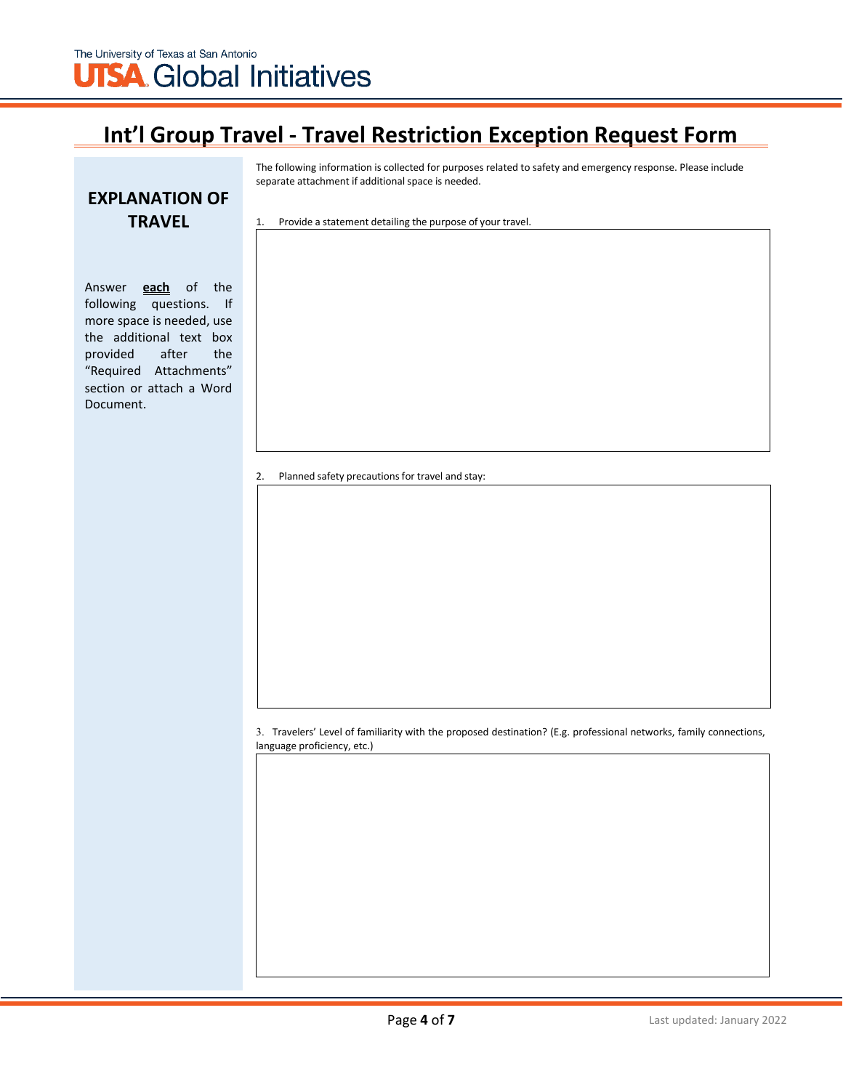## **Int'l Group Travel - Travel Restriction Exception Request Form**

The following information is collected for purposes related to safety and emergency response. Please include separate attachment if additional space is needed.

### **EXPLANATION OF TRAVEL**

Answer **each** of the following questions. If more space is needed, use the additional text box provided after the "Required Attachments" section or attach a Word Document.

1. Provide a statement detailing the purpose of your travel.

2. Planned safety precautions for travel and stay:

3. Travelers' Level of familiarity with the proposed destination? (E.g. professional networks, family connections, language proficiency, etc.)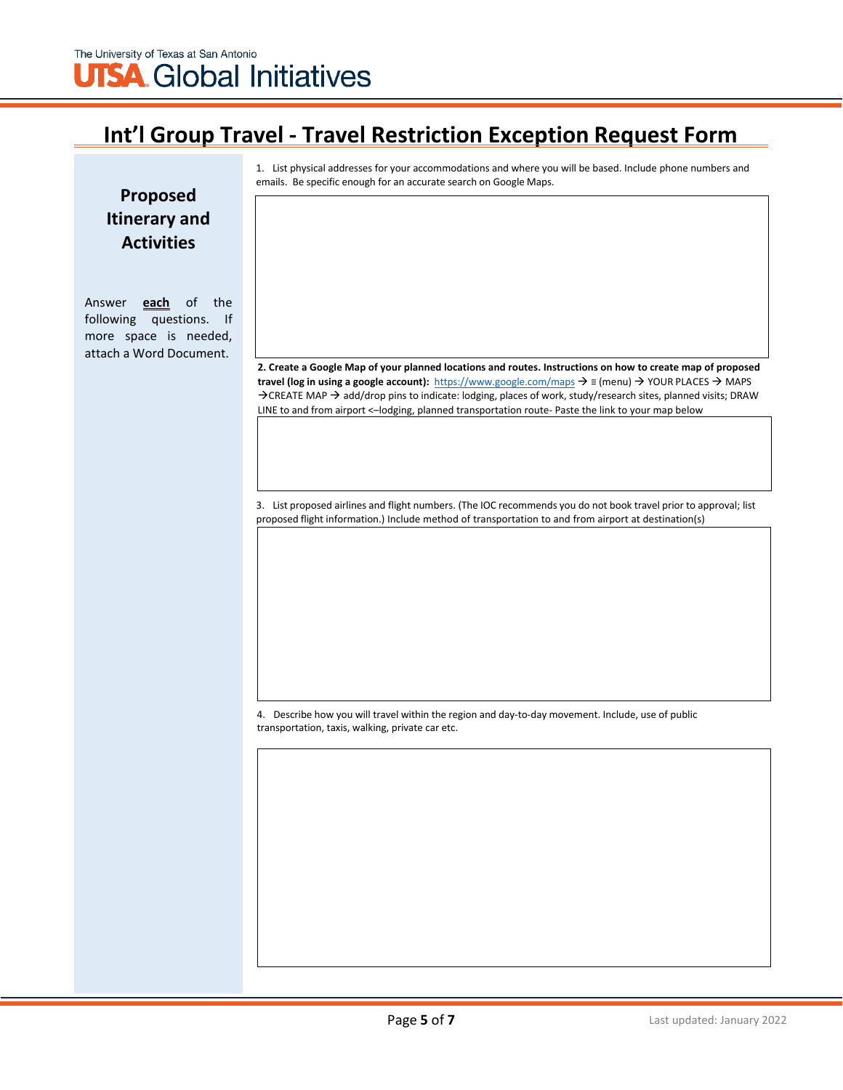## The University of Texas at San Antonio **UTSA** Global Initiatives

## **Int'l Group Travel - Travel Restriction Exception Request Form**

1. List physical addresses for your accommodations and where you will be based. Include phone numbers and emails. Be specific enough for an accurate search on Google Maps.

**Proposed Itinerary and Activities**

Answer **each** of the following questions. If more space is needed, attach a Word Document.

2. Create a Google Map of your planned locations and routes. Instructions on how to create map of proposed **travel (log in using a google account):** https://www.google.com/maps ≡ (menu) YOUR PLACES MAPS  $\rightarrow$  CREATE MAP  $\rightarrow$  add/drop pins to indicate: lodging, places of work, study/research sites, planned visits; DRAW LINE to and from airport <–lodging, planned transportation route- Paste the link to your map below

3. List proposed airlines and flight numbers. (The IOC recommends you do not book travel prior to approval; list proposed flight information.) Include method of transportation to and from airport at destination(s)

4. Describe how you will travel within the region and day-to-day movement. Include, use of public transportation, taxis, walking, private car etc.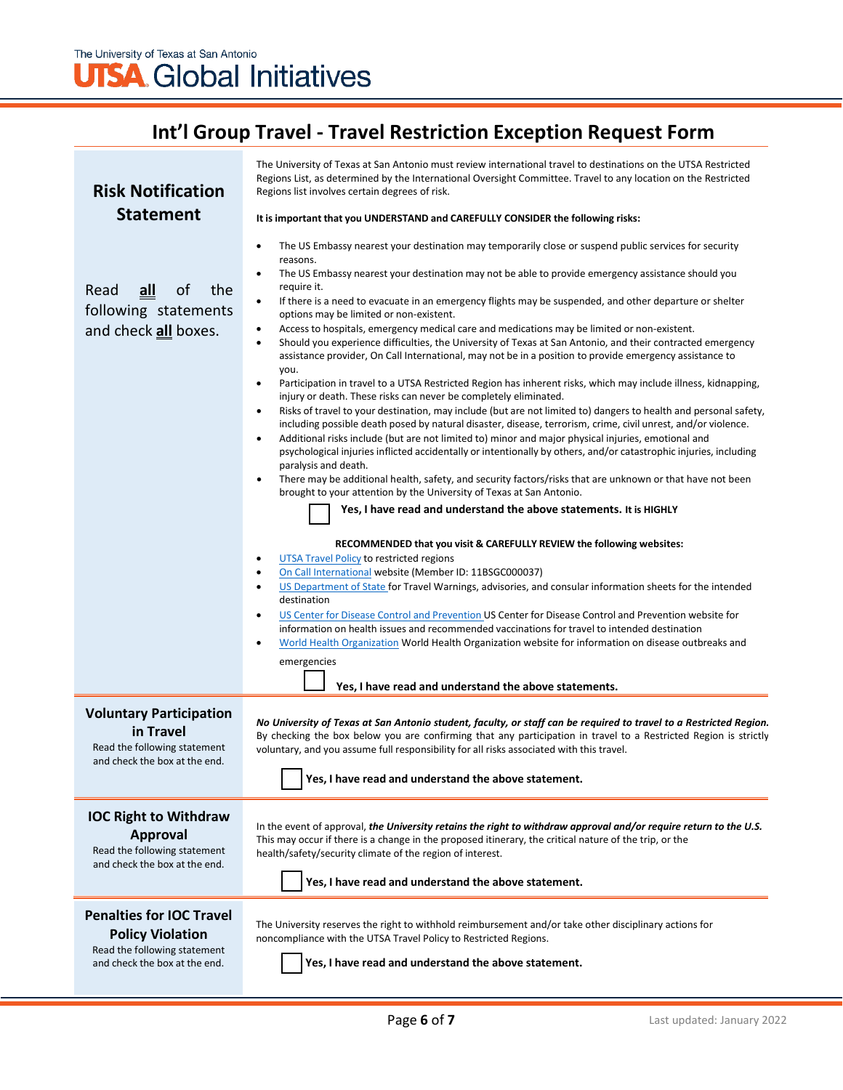# **UTSA** Global Initiatives

## **Int'l Group Travel - Travel Restriction Exception Request Form**

| <b>Risk Notification</b><br><b>Statement</b>                                                                                | The University of Texas at San Antonio must review international travel to destinations on the UTSA Restricted<br>Regions List, as determined by the International Oversight Committee. Travel to any location on the Restricted<br>Regions list involves certain degrees of risk.<br>It is important that you UNDERSTAND and CAREFULLY CONSIDER the following risks:                                                                                                                                                                                                                                                                                                                                                                                                                                                                                                                                                                                                                                                                                                                                                                                                                                                                                                                                                                                                                                                                                                                                                                                                                                                                                                                                                                                                                                                                                                                                                                                                                                                                                                                                                                                                                                                                                                                                                                                                                                                                                                   |  |  |
|-----------------------------------------------------------------------------------------------------------------------------|-------------------------------------------------------------------------------------------------------------------------------------------------------------------------------------------------------------------------------------------------------------------------------------------------------------------------------------------------------------------------------------------------------------------------------------------------------------------------------------------------------------------------------------------------------------------------------------------------------------------------------------------------------------------------------------------------------------------------------------------------------------------------------------------------------------------------------------------------------------------------------------------------------------------------------------------------------------------------------------------------------------------------------------------------------------------------------------------------------------------------------------------------------------------------------------------------------------------------------------------------------------------------------------------------------------------------------------------------------------------------------------------------------------------------------------------------------------------------------------------------------------------------------------------------------------------------------------------------------------------------------------------------------------------------------------------------------------------------------------------------------------------------------------------------------------------------------------------------------------------------------------------------------------------------------------------------------------------------------------------------------------------------------------------------------------------------------------------------------------------------------------------------------------------------------------------------------------------------------------------------------------------------------------------------------------------------------------------------------------------------------------------------------------------------------------------------------------------------|--|--|
| $all$<br>of<br>the<br>Read<br>following statements<br>and check all boxes.                                                  | The US Embassy nearest your destination may temporarily close or suspend public services for security<br>$\bullet$<br>reasons.<br>The US Embassy nearest your destination may not be able to provide emergency assistance should you<br>$\bullet$<br>require it.<br>If there is a need to evacuate in an emergency flights may be suspended, and other departure or shelter<br>$\bullet$<br>options may be limited or non-existent.<br>Access to hospitals, emergency medical care and medications may be limited or non-existent.<br>$\bullet$<br>Should you experience difficulties, the University of Texas at San Antonio, and their contracted emergency<br>$\bullet$<br>assistance provider, On Call International, may not be in a position to provide emergency assistance to<br>you.<br>Participation in travel to a UTSA Restricted Region has inherent risks, which may include illness, kidnapping,<br>$\bullet$<br>injury or death. These risks can never be completely eliminated.<br>Risks of travel to your destination, may include (but are not limited to) dangers to health and personal safety,<br>$\bullet$<br>including possible death posed by natural disaster, disease, terrorism, crime, civil unrest, and/or violence.<br>Additional risks include (but are not limited to) minor and major physical injuries, emotional and<br>$\bullet$<br>psychological injuries inflicted accidentally or intentionally by others, and/or catastrophic injuries, including<br>paralysis and death.<br>There may be additional health, safety, and security factors/risks that are unknown or that have not been<br>$\bullet$<br>brought to your attention by the University of Texas at San Antonio.<br>Yes, I have read and understand the above statements. It is HIGHLY<br>RECOMMENDED that you visit & CAREFULLY REVIEW the following websites:<br>UTSA Travel Policy to restricted regions<br>٠<br>On Call International website (Member ID: 11BSGC000037)<br>٠<br>US Department of State for Travel Warnings, advisories, and consular information sheets for the intended<br>$\bullet$<br>destination<br>US Center for Disease Control and Prevention US Center for Disease Control and Prevention website for<br>$\bullet$<br>information on health issues and recommended vaccinations for travel to intended destination<br>World Health Organization World Health Organization website for information on disease outbreaks and<br>$\bullet$ |  |  |
|                                                                                                                             | emergencies<br>Yes, I have read and understand the above statements.                                                                                                                                                                                                                                                                                                                                                                                                                                                                                                                                                                                                                                                                                                                                                                                                                                                                                                                                                                                                                                                                                                                                                                                                                                                                                                                                                                                                                                                                                                                                                                                                                                                                                                                                                                                                                                                                                                                                                                                                                                                                                                                                                                                                                                                                                                                                                                                                    |  |  |
| <b>Voluntary Participation</b><br>in Travel<br>Read the following statement<br>and check the box at the end.                | No University of Texas at San Antonio student, faculty, or staff can be required to travel to a Restricted Region.<br>By checking the box below you are confirming that any participation in travel to a Restricted Region is strictly<br>voluntary, and you assume full responsibility for all risks associated with this travel.<br>Yes, I have read and understand the above statement.                                                                                                                                                                                                                                                                                                                                                                                                                                                                                                                                                                                                                                                                                                                                                                                                                                                                                                                                                                                                                                                                                                                                                                                                                                                                                                                                                                                                                                                                                                                                                                                                                                                                                                                                                                                                                                                                                                                                                                                                                                                                              |  |  |
| <b>IOC Right to Withdraw</b><br><b>Approval</b><br>Read the following statement<br>and check the box at the end.            | In the event of approval, the University retains the right to withdraw approval and/or require return to the U.S.<br>This may occur if there is a change in the proposed itinerary, the critical nature of the trip, or the<br>health/safety/security climate of the region of interest.<br>Yes, I have read and understand the above statement.                                                                                                                                                                                                                                                                                                                                                                                                                                                                                                                                                                                                                                                                                                                                                                                                                                                                                                                                                                                                                                                                                                                                                                                                                                                                                                                                                                                                                                                                                                                                                                                                                                                                                                                                                                                                                                                                                                                                                                                                                                                                                                                        |  |  |
| <b>Penalties for IOC Travel</b><br><b>Policy Violation</b><br>Read the following statement<br>and check the box at the end. | The University reserves the right to withhold reimbursement and/or take other disciplinary actions for<br>noncompliance with the UTSA Travel Policy to Restricted Regions.<br>Yes, I have read and understand the above statement.                                                                                                                                                                                                                                                                                                                                                                                                                                                                                                                                                                                                                                                                                                                                                                                                                                                                                                                                                                                                                                                                                                                                                                                                                                                                                                                                                                                                                                                                                                                                                                                                                                                                                                                                                                                                                                                                                                                                                                                                                                                                                                                                                                                                                                      |  |  |